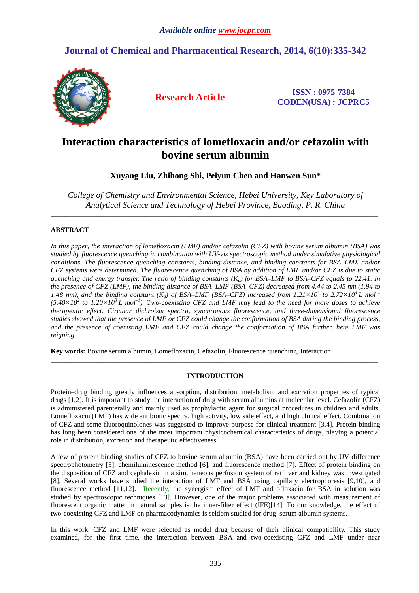# **Journal of Chemical and Pharmaceutical Research, 2014, 6(10):335-342**



**Research Article ISSN : 0975-7384 CODEN(USA) : JCPRC5**

# **Interaction characteristics of lomefloxacin and/or cefazolin with bovine serum albumin**

**Xuyang Liu, Zhihong Shi, Peiyun Chen and Hanwen Sun\*** 

*College of Chemistry and Environmental Science, Hebei University, Key Laboratory of Analytical Science and Technology of Hebei Province, Baoding, P. R. China* 

\_\_\_\_\_\_\_\_\_\_\_\_\_\_\_\_\_\_\_\_\_\_\_\_\_\_\_\_\_\_\_\_\_\_\_\_\_\_\_\_\_\_\_\_\_\_\_\_\_\_\_\_\_\_\_\_\_\_\_\_\_\_\_\_\_\_\_\_\_\_\_\_\_\_\_\_\_\_\_\_\_\_\_\_\_\_\_\_\_\_\_\_\_

## **ABSTRACT**

*In this paper, the interaction of lomefloxacin (LMF) and/or cefazolin (CFZ) with bovine serum albumin (BSA) was studied by fluorescence quenching in combination with UV-vis spectroscopic method under simulative physiological conditions. The fluorescence quenching constants, binding distance, and binding constants for BSA–LMX and/or CFZ systems were determined. The fluorescence quenching of BSA by addition of LMF and/or CFZ is due to static quenching and energy transfer. The ratio of binding constants (Ka) for BSA–LMF to BSA–CFZ equals to 22.41. In the presence of CFZ (LMF), the binding distance of BSA–LMF (BSA–CFZ) decreased from 4.44 to 2.45 nm (1.94 to*  1.48 nm), and the binding constant  $(K_a)$  of BSA–LMF (BSA–CFZ) increased from  $1.21 \times 10^4$  to  $2.72 \times 10^4$  L mol<sup>-1</sup>  $(5.40\times10^2$  to  $1.20\times10^3$  L mol<sup>-1</sup>). Two-coexisting CFZ and LMF may lead to the need for more doses to achieve *therapeutic effect. Circular dichroism spectra, synchronous fluorescence, and three-dimensional fluorescence studies showed that the presence of LMF or CFZ could change the conformation of BSA during the binding process, and the presence of coexisting LMF and CFZ could change the conformation of BSA further, here LMF was reigning.* 

**Key words:** Bovine serum albumin, Lomefloxacin, Cefazolin, Fluorescence quenching, Interaction

## **INTRODUCTION**

\_\_\_\_\_\_\_\_\_\_\_\_\_\_\_\_\_\_\_\_\_\_\_\_\_\_\_\_\_\_\_\_\_\_\_\_\_\_\_\_\_\_\_\_\_\_\_\_\_\_\_\_\_\_\_\_\_\_\_\_\_\_\_\_\_\_\_\_\_\_\_\_\_\_\_\_\_\_\_\_\_\_\_\_\_\_\_\_\_\_\_\_\_

Protein–drug binding greatly influences absorption, distribution, metabolism and excretion properties of typical drugs [1,2]. It is important to study the interaction of drug with serum albumins at molecular level. Cefazolin (CFZ) is administered parenterally and mainly used as prophylactic agent for surgical procedures in children and adults. Lomefloxacin (LMF) has wide antibiotic spectra, high activity, low side effect, and high clinical effect. Combination of CFZ and some fluoroquinolones was suggested to improve purpose for clinical treatment [3,4]. Protein binding has long been considered one of the most important physicochemical characteristics of drugs, playing a potential role in distribution, excretion and therapeutic effectiveness.

A few of protein binding studies of CFZ to bovine serum albumin (BSA) have been carried out by UV difference spectrophotometry [5], chemiluminescence method [6], and fluorescence method [7]. Effect of protein binding on the disposition of CFZ and cephalexin in a simultaneous perfusion system of rat liver and kidney was investigated [8]. Several works have studied the interaction of LMF and BSA using capillary electrophoresis [9,10], and fluorescence method [11,12]. Recently, the synergism effect of LMF and ofloxacin for BSA in solution was studied by spectroscopic techniques [13]. However, one of the major problems associated with measurement of fluorescent organic matter in natural samples is the inner-filter effect (IFE)[14]. To our knowledge, the effect of two-coexisting CFZ and LMF on pharmacodynamics is seldom studied for drug–serum albumin systems.

In this work, CFZ and LMF were selected as model drug because of their clinical compatibility. This study examined, for the first time, the interaction between BSA and two-coexisting CFZ and LMF under near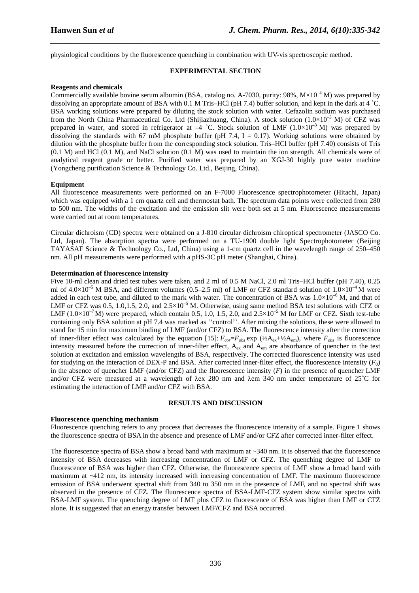physiological conditions by the fluorescence quenching in combination with UV-vis spectroscopic method.

## **EXPERIMENTAL SECTION**

*\_\_\_\_\_\_\_\_\_\_\_\_\_\_\_\_\_\_\_\_\_\_\_\_\_\_\_\_\_\_\_\_\_\_\_\_\_\_\_\_\_\_\_\_\_\_\_\_\_\_\_\_\_\_\_\_\_\_\_\_\_\_\_\_\_\_\_\_\_\_\_\_\_\_\_\_\_\_*

## **Reagents and chemicals**

Commercially available bovine serum albumin (BSA, catalog no. A-7030, purity: 98%,  $M \times 10^{-4}$  M) was prepared by dissolving an appropriate amount of BSA with 0.1 M Tris–HCl (pH 7.4) buffer solution, and kept in the dark at 4 ˚C. BSA working solutions were prepared by diluting the stock solution with water. Cefazolin sodium was purchased from the North China Pharmaceutical Co. Ltd (Shijiazhuang, China). A stock solution  $(1.0\times10^{-3}$  M) of CFZ was prepared in water, and stored in refrigerator at  $-4$  °C. Stock solution of LMF (1.0×10<sup>-3</sup> M) was prepared by dissolving the standards with 67 mM phosphate buffer (pH 7.4,  $I = 0.17$ ). Working solutions were obtained by dilution with the phosphate buffer from the corresponding stock solution. Tris–HCl buffer (pH 7.40) consists of Tris (0.1 M) and HCl (0.1 M), and NaCl solution (0.1 M) was used to maintain the ion strength. All chemicals were of analytical reagent grade or better. Purified water was prepared by an XGJ-30 highly pure water machine (Yongcheng purification Science & Technology Co. Ltd., Beijing, China).

## **Equipment**

All fluorescence measurements were performed on an F-7000 Fluorescence spectrophotometer (Hitachi, Japan) which was equipped with a 1 cm quartz cell and thermostat bath. The spectrum data points were collected from 280 to 500 nm. The widths of the excitation and the emission slit were both set at 5 nm. Fluorescence measurements were carried out at room temperatures.

Circular dichroism (CD) spectra were obtained on a J-810 circular dichroism chiroptical spectrometer (JASCO Co. Ltd, Japan). The absorption spectra were performed on a TU-1900 double light Spectrophotometer (Beijing TAYASAF Science & Technology Co., Ltd, China) using a 1-cm quartz cell in the wavelength range of 250–450 nm. All pH measurements were performed with a pHS-3C pH meter (Shanghai, China).

## **Determination of fluorescence intensity**

Five 10-ml clean and dried test tubes were taken, and 2 ml of 0.5 M NaCl, 2.0 ml Tris–HCl buffer (pH 7.40), 0.25 ml of  $4.0\times10^{-5}$  M BSA, and different volumes (0.5–2.5 ml) of LMF or CFZ standard solution of  $1.0\times10^{-4}$  M were added in each test tube, and diluted to the mark with water. The concentration of BSA was  $1.0\times10^{-6}$  M, and that of LMF or CFZ was 0.5, 1.0,1.5, 2.0, and  $2.5 \times 10^{-5}$  M. Otherwise, using same method BSA test solutions with CFZ or LMF  $(1.0\times10^{-7}$  M) were prepared, which contain 0.5, 1.0, 1.5, 2.0, and  $2.5\times10^{-5}$  M for LMF or CFZ. Sixth test-tube containing only BSA solution at pH 7.4 was marked as ''control''. After mixing the solutions, these were allowed to stand for 15 min for maximum binding of LMF (and/or CFZ) to BSA. The fluorescence intensity after the correction of inner-filter effect was calculated by the equation [15]:  $F_{cor} = F_{obs} \exp (\frac{1}{2}A_{ex} + \frac{1}{2}A_{em})$ , where  $F_{obs}$  is fluorescence intensity measured before the correction of inner-filter effect, A<sub>ex</sub> and A<sub>em</sub> are absorbance of quencher in the test solution at excitation and emission wavelengths of BSA, respectively. The corrected fluorescence intensity was used for studying on the interaction of DEX-P and BSA. After corrected inner-filter effect, the fluorescence intensity  $(F_0)$ in the absence of quencher LMF (and/or CFZ) and the fluorescence intensity  $(F)$  in the presence of quencher LMF and/or CFZ were measured at a wavelength of λex 280 nm and λem 340 nm under temperature of 25˚C for estimating the interaction of LMF and/or CFZ with BSA.

#### **RESULTS AND DISCUSSION**

## **Fluorescence quenching mechanism**

Fluorescence quenching refers to any process that decreases the fluorescence intensity of a sample. Figure 1 shows the fluorescence spectra of BSA in the absence and presence of LMF and/or CFZ after corrected inner-filter effect.

The fluorescence spectra of BSA show a broad band with maximum at  $\sim$ 340 nm. It is observed that the fluorescence intensity of BSA decreases with increasing concentration of LMF or CFZ. The quenching degree of LMF to fluorescence of BSA was higher than CFZ. Otherwise, the fluorescence spectra of LMF show a broad band with maximum at  $\sim$ 412 nm, its intensity increased with increasing concentration of LMF. The maximum fluorescence emission of BSA underwent spectral shift from 340 to 350 nm in the presence of LMF, and no spectral shift was observed in the presence of CFZ. The fluorescence spectra of BSA-LMF-CFZ system show similar spectra with BSA-LMF system. The quenching degree of LMF plus CFZ to fluorescence of BSA was higher than LMF or CFZ alone. It is suggested that an energy transfer between LMF**/**CFZ and BSA occurred.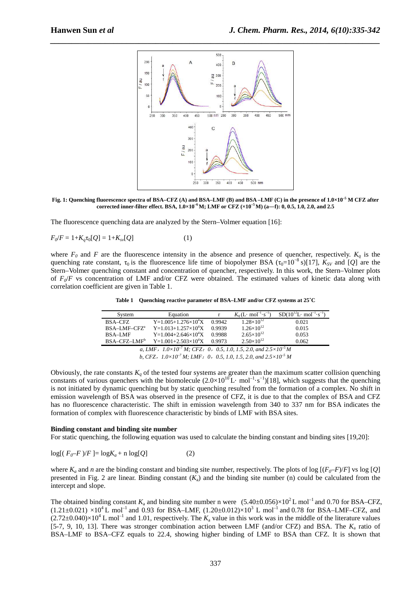

**Fig. 1: Quenching fluorescence spectra of BSA–CFZ (A) and BSA–LMF (B) and BSA –LMF (C) in the presence of 1.0×10–5 M CFZ after corrected inner-filter effect. BSA, 1.0×10–6 M; LMF or CFZ (×10–5 M) (a―f): 0, 0.5, 1.0, 2.0, and 2.5** 

The fluorescence quenching data are analyzed by the Stern–Volmer equation [16]:

$$
F_0/F = 1 + K_q \tau_0[Q] = 1 + K_{sv}[Q] \tag{1}
$$

where  $F_0$  and  $F$  are the fluorescence intensity in the absence and presence of quencher, respectively.  $K_q$  is the quenching rate constant,  $\tau_0$  is the fluorescence life time of biopolymer BSA ( $\tau_0=10^{-8}$  s)[17],  $K_{SV}$  and [*Q*] are the Stern–Volmer quenching constant and concentration of quencher, respectively. In this work, the Stern–Volmer plots of *F0*/*F* vs concentration of LMF and/or CFZ were obtained. The estimated values of kinetic data along with correlation coefficient are given in Table 1.

| System                                                                                 | Equation                     |        | $K_a(L \cdot \text{mol}^{-1} \cdot \text{s}^{-1})$ | $SD(10^{12}L \cdot mol^{-1} \cdot s^{-1})$ |  |  |
|----------------------------------------------------------------------------------------|------------------------------|--------|----------------------------------------------------|--------------------------------------------|--|--|
| BSA-CFZ                                                                                | $Y=1.005+1.276\times10^{4}X$ | 0.9942 | $1.28\times10^{12}$                                | 0.021                                      |  |  |
| $BSA-LMF-CFZa$                                                                         | $Y=1.013+1.257\times10^{4}X$ | 0.9939 | $1.26\times10^{12}$                                | 0.015                                      |  |  |
| <b>BSA-LMF</b>                                                                         | $Y=1.004+2.646\times10^{4}X$ | 0.9988 | $2.65\times10^{12}$                                | 0.053                                      |  |  |
| $BSA-CFZ-I.MFb$                                                                        | $Y=1.001+2.503\times10^{4}X$ | 0.9973 | $2.50\times10^{12}$                                | 0.062                                      |  |  |
| a, LMF, $1.0 \times 10^{-7}$ M; CFZ: 0, 0.5, 1.0, 1.5, 2.0, and $2.5 \times 10^{-5}$ M |                              |        |                                                    |                                            |  |  |

**Table 1 Quenching reactive parameter of BSA–LMF and/or CFZ systems at 25˚C** 

*b, CFZ*,*1.0×10–7 M; LMF*:*0*,*0.5, 1.0, 1.5, 2.0, and 2.5×10–5 M* 

Obviously, the rate constants  $K_q$  of the tested four systems are greater than the maximum scatter collision quenching constants of various quenchers with the biomolecule  $(2.0\times10^{10}L \cdot mol^{-1} \cdot s^{-1})$ [18], which suggests that the quenching is not initiated by dynamic quenching but by static quenching resulted from the formation of a complex. No shift in emission wavelength of BSA was observed in the presence of CFZ, it is due to that the complex of BSA and CFZ has no fluorescence characteristic. The shift in emission wavelength from 340 to 337 nm for BSA indicates the formation of complex with fluorescence characteristic by binds of LMF with BSA sites.

#### **Binding constant and binding site number**

For static quenching, the following equation was used to calculate the binding constant and binding sites [19,20]:

$$
log[(F_0-F)/F] = logK_a + n log[Q]
$$
 (2)

where  $K_a$  and *n* are the binding constant and binding site number, respectively. The plots of log  $[(F_0-F)/F]$  vs log  $[Q]$ presented in Fig. 2 are linear. Binding constant  $(K_a)$  and the binding site number (n) could be calculated from the intercept and slope.

The obtained binding constant  $K_a$  and binding site number n were  $(5.40\pm0.056)\times10^2$  L mol<sup>-1</sup> and 0.70 for BSA–CFZ,  $(1.21 \pm 0.021) \times 10^4$  L mol<sup>-1</sup> and 0.93 for BSA–LMF,  $(1.20 \pm 0.012) \times 10^3$  L mol<sup>-1</sup> and 0.78 for BSA–LMF–CFZ, and  $(2.72\pm0.040)\times10^4$  L mol<sup>-1</sup> and 1.01, respectively. The  $K_a$  value in this work was in the middle of the literature values [5-7, 9, 10, 13]. There was stronger combination action between LMF (and/or CFZ) and BSA. The  $K<sub>a</sub>$  ratio of BSA–LMF to BSA–CFZ equals to 22.4, showing higher binding of LMF to BSA than CFZ. It is shown that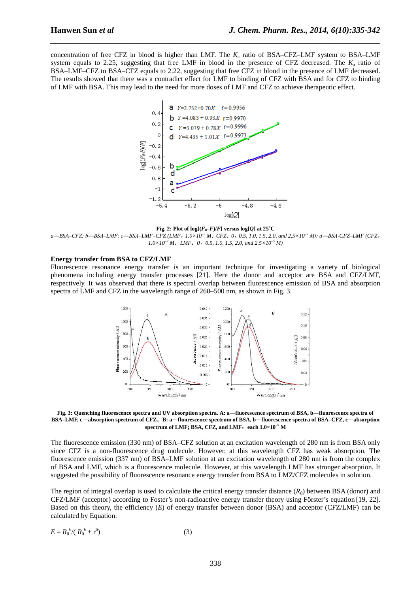concentration of free CFZ in blood is higher than LMF. The *K*<sup>a</sup> ratio of BSA–CFZ–LMF system to BSA–LMF system equals to 2.25, suggesting that free LMF in blood in the presence of CFZ decreased. The  $K_a$  ratio of BSA–LMF–CFZ to BSA–CFZ equals to 2.22, suggesting that free CFZ in blood in the presence of LMF decreased. The results showed that there was a contradict effect for LMF to binding of CFZ with BSA and for CFZ to binding of LMF with BSA. This may lead to the need for more doses of LMF and CFZ to achieve therapeutic effect.

*\_\_\_\_\_\_\_\_\_\_\_\_\_\_\_\_\_\_\_\_\_\_\_\_\_\_\_\_\_\_\_\_\_\_\_\_\_\_\_\_\_\_\_\_\_\_\_\_\_\_\_\_\_\_\_\_\_\_\_\_\_\_\_\_\_\_\_\_\_\_\_\_\_\_\_\_\_\_*



**Fig. 2: Plot of log** $[(F_0-F)/F]$  versus log $[Q]$  at 25°C

 $a$ -BSA-CFZ; b-BSA-LMF; c-BSA-LMF-CFZ (LMF, 1.0×10<sup>-7</sup> M; CFZ: 0, 0.5, 1.0, 1.5, 2.0, and 2.5×10<sup>-5</sup> M); d-BSA-CFZ-LMF (CFZ, *1.0×10–7 M*;*LMF*:*0*,*0.5, 1.0, 1.5, 2.0, and 2.5×10–5 M)* 

### **Energy transfer from BSA to CFZ/LMF**

Fluorescence resonance energy transfer is an important technique for investigating a variety of biological phenomena including energy transfer processes [21]. Here the donor and acceptor are BSA and CFZ/LMF, respectively. It was observed that there is spectral overlap between fluorescence emission of BSA and absorption spectra of LMF and CFZ in the wavelength range of 260–500 nm, as shown in Fig. 3.



**Fig. 3: Quenching fluorescence spectra and UV absorption spectra. A: a―fluorescence spectrum of BSA, b―fluorescence spectra of BSA–LMF, c―absorption spectrum of CFZ**;**B: a―fluorescence spectrum of BSA, b―fluorescence spectra of BSA–CFZ, c―absorption spectrum of LMF; BSA, CFZ, and LMF**:**each 1.0×10–5 M** 

The fluorescence emission (330 nm) of BSA–CFZ solution at an excitation wavelength of 280 nm is from BSA only since CFZ is a non-fluorescence drug molecule. However, at this wavelength CFZ has weak absorption. The fluorescence emission (337 nm) of BSA–LMF solution at an excitation wavelength of 280 nm is from the complex of BSA and LMF, which is a fluorescence molecule. However, at this wavelength LMF has stronger absorption. It suggested the possibility of fluorescence resonance energy transfer from BSA to LMZ/CFZ molecules in solution.

The region of integral overlap is used to calculate the critical energy transfer distance  $(R_0)$  between BSA (donor) and CFZ/LMF (acceptor) according to Foster's non-radioactive energy transfer theory using Förster's equation [19, 22]. Based on this theory, the efficiency (*E*) of energy transfer between donor (BSA) and acceptor (CFZ/LMF) can be calculated by Equation:

$$
E = R_0^{6} / (R_0^{6} + r^6)
$$
 (3)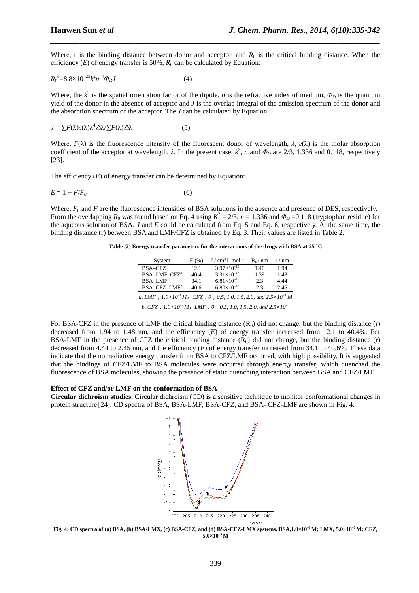Where, r is the binding distance between donor and acceptor, and  $R_0$  is the critical binding distance. When the efficiency  $(E)$  of energy transfer is 50%,  $R_0$  can be calculated by Equation:

*\_\_\_\_\_\_\_\_\_\_\_\_\_\_\_\_\_\_\_\_\_\_\_\_\_\_\_\_\_\_\_\_\_\_\_\_\_\_\_\_\_\_\_\_\_\_\_\_\_\_\_\_\_\_\_\_\_\_\_\_\_\_\_\_\_\_\_\_\_\_\_\_\_\_\_\_\_\_*

$$
R_0^6 = 8.8 \times 10^{-25} k^2 n^{-4} \Phi_D J \tag{4}
$$

Where, the  $k^2$  is the spatial orientation factor of the dipole, *n* is the refractive index of medium,  $\Phi_D$  is the quantum yield of the donor in the absence of acceptor and *J* is the overlap integral of the emission spectrum of the donor and the absorption spectrum of the acceptor. The *J* can be calculated by Equation:

$$
J = \sum F(\lambda)\varepsilon(\lambda)\lambda^4 \Delta\lambda \sum F(\lambda)\Delta\lambda \tag{5}
$$

Where,  $F(\lambda)$  is the fluorescence intensity of the fluorescent donor of wavelength,  $\lambda$ ,  $\varepsilon(\lambda)$  is the molar absorption coefficient of the acceptor at wavelength,  $\lambda$ . In the present case,  $k^2$ , *n* and  $\Phi_D$  are 2/3, 1.336 and 0.118, respectively [23].

The efficiency (*E*) of energy transfer can be determined by Equation:

$$
E = 1 - F/F_0 \tag{6}
$$

Where,  $F_0$  and  $F$  are the fluorescence intensities of BSA solutions in the absence and presence of DES, respectively. From the overlapping  $R_0$  was found based on Eq. 4 using  $K^2 = 2/3$ ,  $n = 1.336$  and  $\Phi_D = 0.118$  (tryptophan residue) for the aqueous solution of BSA. *J* and *E* could be calculated from Eq. 5 and Eq. 6, respectively. At the same time, the binding distance (r) between BSA and LMF/CFZ is obtained by Eq. 3. Their values are listed in Table 2.

**Table (2) Energy transfer parameters for the interactions of the drugs with BSA at 25 ˚C** 

| System                                                                               | E(% ) | $J/cm3 L mol-1$      | $R_0/mm$ | r / nm |  |  |  |
|--------------------------------------------------------------------------------------|-------|----------------------|----------|--------|--|--|--|
| <b>BSA-CFZ</b>                                                                       | 12.1  | $3.97\times10^{-15}$ | 1.40     | 1.94   |  |  |  |
| BSA-LMF-CFZ <sup>a</sup>                                                             | 40.4  | $3.31\times10^{-16}$ | 1.39     | 1.48   |  |  |  |
| <b>BSA-LMF</b>                                                                       | 34.1  | $6.81\times10^{-15}$ | 2.3      | 4.44   |  |  |  |
| BSA-CFZ-LMF <sup>b</sup>                                                             | 40.6  | $6.80\times10^{-15}$ | 2.3      | 2.45   |  |  |  |
| a, LMF, $1.0\times10^{-7}$ M; CFZ: 0, 0.5, 1.0, 1.5, 2.0, and $2.5\times10^{-5}$ M   |       |                      |          |        |  |  |  |
| b, CFZ, $1.0 \times 10^{-7}$ M; LMF: 0, 0.5, 1.0, 1.5, 2.0, and $2.5 \times 10^{-5}$ |       |                      |          |        |  |  |  |

For BSA-CFZ in the presence of LMF the critical binding distance  $(R_0)$  did not change, but the binding distance (r) decreased from 1.94 to 1.48 nm, and the efficiency (*E*) of energy transfer increased from 12.1 to 40.4%. For BSA-LMF in the presence of CFZ the critical binding distance  $(R_0)$  did not change, but the binding distance (r) decreased from 4.44 to 2.45 nm, and the efficiency (*E*) of energy transfer increased from 34.1 to 40.6%. These data indicate that the nonradiative energy transfer from BSA to CFZ/LMF occurred, with high possibility. It is suggested that the bindings of CFZ/LMF to BSA molecules were occurred through energy transfer, which quenched the fluorescence of BSA molecules, showing the presence of static quenching interaction between BSA and CFZ/LMF.

#### **Effect of CFZ and/or LMF on the conformation of BSA**

**Circular dichroism studies.** Circular dichroism (CD) is a sensitive technique to monitor conformational changes in protein structure [24]. CD spectra of BSA, BSA-LMF, BSA-CFZ, and BSA- CFZ-LMF are shown in Fig. 4.



**Fig. 4: CD spectra of (a) BSA, (b) BSA-LMX, (c) BSA-CFZ, and (d) BSA-CFZ-LMX systems. BSA,1.0×10–6 M; LMX, 5.0×10–6 M; CFZ, 5.0×10–6 M**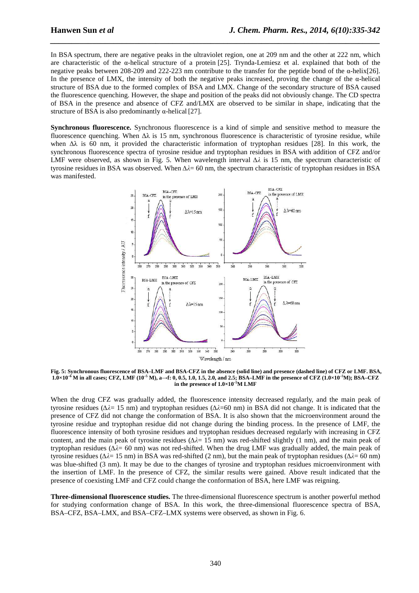In BSA spectrum, there are negative peaks in the ultraviolet region, one at 209 nm and the other at 222 nm, which are characteristic of the  $\alpha$ -helical structure of a protein [25]. Trynda-Lemiesz et al. explained that both of the negative peaks between 208-209 and 222-223 nm contribute to the transfer for the peptide bond of the α-helix[26]. In the presence of LMX, the intensity of both the negative peaks increased, proving the change of the  $\alpha$ -helical structure of BSA due to the formed complex of BSA and LMX. Change of the secondary structure of BSA caused the fluorescence quenching. However, the shape and position of the peaks did not obviously change. The CD spectra of BSA in the presence and absence of CFZ and/LMX are observed to be similar in shape, indicating that the structure of BSA is also predominantly  $\alpha$ -helical [27].

*\_\_\_\_\_\_\_\_\_\_\_\_\_\_\_\_\_\_\_\_\_\_\_\_\_\_\_\_\_\_\_\_\_\_\_\_\_\_\_\_\_\_\_\_\_\_\_\_\_\_\_\_\_\_\_\_\_\_\_\_\_\_\_\_\_\_\_\_\_\_\_\_\_\_\_\_\_\_*

**Synchronous fluorescence.** Synchronous fluorescence is a kind of simple and sensitive method to measure the fluorescence quenching. When  $\Delta\lambda$  is 15 nm, synchronous fluorescence is characteristic of tyrosine residue, while when ∆λ is 60 nm, it provided the characteristic information of tryptophan residues [28]. In this work, the synchronous fluorescence spectra of tyrosine residue and tryptophan residues in BSA with addition of CFZ and/or LMF were observed, as shown in Fig. 5. When wavelength interval *∆λ* is 15 nm, the spectrum characteristic of tyrosine residues in BSA was observed. When *∆λ*= 60 nm, the spectrum characteristic of tryptophan residues in BSA was manifested.



**Fig. 5: Synchronous fluorescence of BSA–LMF and BSA-CFZ in the absence (solid line) and presence (dashed line) of CFZ or LMF. BSA, 1.0×10–6 M in all cases; CFZ, LMF (10–5 M), a→f: 0, 0.5, 1.0, 1.5, 2.0, and 2.5; BSA–LMF in the presence of CFZ (1.0×10–5M); BSA–CFZ in the presence of 1.0×10–5M LMF** 

When the drug CFZ was gradually added, the fluorescence intensity decreased regularly, and the main peak of tyrosine residues (*∆λ*= 15 nm) and tryptophan residues (*∆λ*=60 nm) in BSA did not change. It is indicated that the presence of CFZ did not change the conformation of BSA. It is also shown that the microenvironment around the tyrosine residue and tryptophan residue did not change during the binding process. In the presence of LMF, the fluorescence intensity of both tyrosine residues and tryptophan residues decreased regularly with increasing in CFZ content, and the main peak of tyrosine residues (*∆λ*= 15 nm) was red-shifted slightly (1 nm), and the main peak of tryptophan residues (*∆λ*= 60 nm) was not red-shifted. When the drug LMF was gradually added, the main peak of tyrosine residues (*∆λ*= 15 nm) in BSA was red-shifted (2 nm), but the main peak of tryptophan residues (*∆λ*= 60 nm) was blue-shifted (3 nm). It may be due to the changes of tyrosine and tryptophan residues microenvironment with the insertion of LMF. In the presence of CFZ, the similar results were gained. Above result indicated that the presence of coexisting LMF and CFZ could change the conformation of BSA, here LMF was reigning.

**Three-dimensional fluorescence studies.** The three-dimensional fluorescence spectrum is another powerful method for studying conformation change of BSA. In this work, the three-dimensional fluorescence spectra of BSA, BSA–CFZ, BSA–LMX, and BSA–CFZ–LMX systems were observed, as shown in Fig. 6.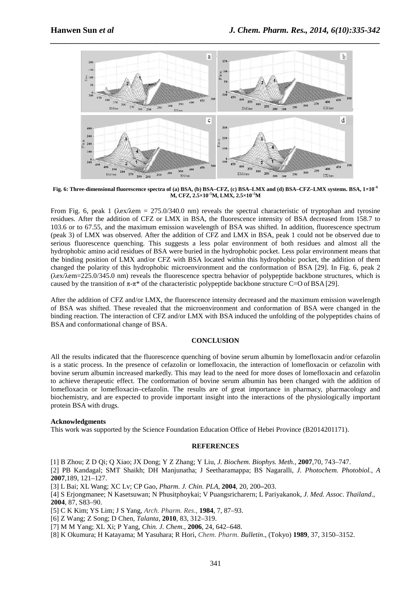

**Fig. 6: Three-dimensional fluorescence spectra of (a) BSA, (b) BSA–CFZ, (c) BSA–LMX and (d) BSA–CFZ–LMX systems. BSA, 1×10–6 M, CFZ, 2.5×10–5M, LMX, 2.5×10–5M**

From Fig. 6, peak 1 ( $\lambda$ ex/ $\lambda$ em = 275.0/340.0 nm) reveals the spectral characteristic of tryptophan and tyrosine residues. After the addition of CFZ or LMX in BSA, the fluorescence intensity of BSA decreased from 158.7 to 103.6 or to 67.55, and the maximum emission wavelength of BSA was shifted. In addition, fluorescence spectrum (peak 3) of LMX was observed. After the addition of CFZ and LMX in BSA, peak 1 could not be observed due to serious fluorescence quenching. This suggests a less polar environment of both residues and almost all the hydrophobic amino acid residues of BSA were buried in the hydrophobic pocket. Less polar environment means that the binding position of LMX and/or CFZ with BSA located within this hydrophobic pocket, the addition of them changed the polarity of this hydrophobic microenvironment and the conformation of BSA [29]. In Fig. 6, peak 2 (λex/λem=225.0/345.0 nm) reveals the fluorescence spectra behavior of polypeptide backbone structures, which is caused by the transition of  $\pi$ -π<sup>\*</sup> of the characteristic polypeptide backbone structure C=O of BSA [29].

After the addition of CFZ and/or LMX, the fluorescence intensity decreased and the maximum emission wavelength of BSA was shifted. These revealed that the microenvironment and conformation of BSA were changed in the binding reaction. The interaction of CFZ and/or LMX with BSA induced the unfolding of the polypeptides chains of BSA and conformational change of BSA.

#### **CONCLUSION**

All the results indicated that the fluorescence quenching of bovine serum albumin by lomefloxacin and/or cefazolin is a static process. In the presence of cefazolin or lomefloxacin, the interaction of lomefloxacin or cefazolin with bovine serum albumin increased markedly. This may lead to the need for more doses of lomefloxacin and cefazolin to achieve therapeutic effect. The conformation of bovine serum albumin has been changed with the addition of lomefloxacin or lomefloxacin–cefazolin. The results are of great importance in pharmacy, pharmacology and biochemistry, and are expected to provide important insight into the interactions of the physiologically important protein BSA with drugs.

#### **Acknowledgments**

This work was supported by the Science Foundation Education Office of Hebei Province (B2014201171).

## **REFERENCES**

[1] B Zhou; Z D Qi; Q Xiao; JX Dong; Y Z Zhang; Y Liu, *J. Biochem. Biophys. Meth.,* **2007**,70, 743–747.

[2] PB Kandagal; SMT Shaikh; DH Manjunatha; J Seetharamappa; BS Nagaralli, *J. Photochem. Photobiol., A* **2007**,189, 121–127.

[3] L Bai; XL Wang; XC Lv; CP Gao, *Pharm. J. Chin. PLA*, **2004**, 20, 200**–**203.

[4] S Erjongmanee; N Kasetsuwan; N Phusitphoykai; V Puangsricharern; L Pariyakanok, *J. Med. Assoc. Thailand*., **2004**, 87, S83–90.

[5] C K Kim; YS Lim; J S Yang, *Arch. Pharm. Res*., **1984**, 7, 87–93.

[6] Z Wang; Z Song; D Chen, *Talanta*, **2010**, 83, 312–319.

[7] M M Yang; XL Xi; P Yang, *Chin. J. Chem*., **2006**, 24, 642–648.

[8] K Okumura; H Katayama; M Yasuhara; R Hori, *Chem. Pharm. Bulletin*., (Tokyo) **1989**, 37, 3150–3152.